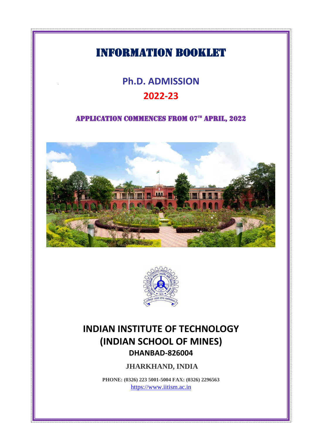# INFORMATION Booklet

Ī

# **Ph.D. ADMISSION 2022-23**

## APPLICATION COMMENCES FROM 07<sup>th</sup> APRIL, 2022





# **INDIAN INSTITUTE OF TECHNOLOGY (INDIAN SCHOOL OF MINES) DHANBAD-826004**

**JHARKHAND, INDIA**

**PHONE: (0326) 223 5001-5004 FAX: (0326) 2296563** [https://www.iitism.ac.in](https://www.iitism.ac.in/index.php/Admission)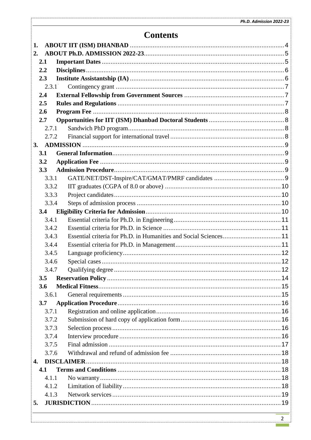## **Contents**

| 1. |              |                                                                   |  |
|----|--------------|-------------------------------------------------------------------|--|
| 2. |              |                                                                   |  |
|    | 2.1          |                                                                   |  |
|    | 2.2          |                                                                   |  |
|    | 2.3          |                                                                   |  |
|    | 2.3.1        |                                                                   |  |
|    | 2.4          |                                                                   |  |
|    | 2.5          |                                                                   |  |
|    | 2.6          |                                                                   |  |
|    | 2.7          |                                                                   |  |
|    | 2.7.1        |                                                                   |  |
|    | 2.7.2        |                                                                   |  |
| 3. |              |                                                                   |  |
|    | 3.1          |                                                                   |  |
|    | 3.2          |                                                                   |  |
|    | 3.3          |                                                                   |  |
|    | 3.3.1        |                                                                   |  |
|    | 3.3.2        |                                                                   |  |
|    | 3.3.3        |                                                                   |  |
|    | 3.3.4        |                                                                   |  |
|    | 3.4          |                                                                   |  |
|    | 3.4.1        |                                                                   |  |
|    | 3.4.2        |                                                                   |  |
|    | 3.4.3        | Essential criteria for Ph.D. in Humanities and Social Sciences 11 |  |
|    | 3.4.4        |                                                                   |  |
|    | 3.4.5        |                                                                   |  |
|    | 3.4.6        |                                                                   |  |
|    | 3.4.7        |                                                                   |  |
|    | 3.5          |                                                                   |  |
|    | 3.6          |                                                                   |  |
|    | 3.6.1        |                                                                   |  |
|    | 3.7          |                                                                   |  |
|    | 3.7.1        |                                                                   |  |
|    | 3.7.2        |                                                                   |  |
|    | 3.7.3        |                                                                   |  |
|    | 3.7.4        |                                                                   |  |
|    | 3.7.5        |                                                                   |  |
|    | 3.7.6        |                                                                   |  |
| 4. |              |                                                                   |  |
|    | 4.1<br>4.1.1 |                                                                   |  |
|    | 4.1.2        |                                                                   |  |
|    | 4.1.3        |                                                                   |  |
| 5. |              |                                                                   |  |
|    |              |                                                                   |  |
|    |              |                                                                   |  |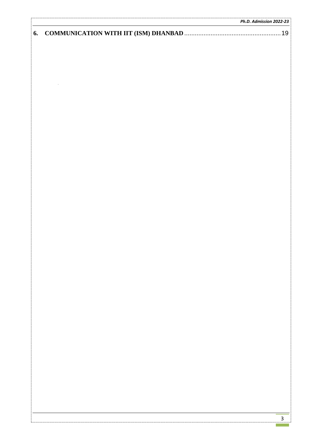|    | Ph.D. Admission 2022-23 |
|----|-------------------------|
| 6. |                         |
|    |                         |
|    |                         |
|    |                         |
|    |                         |
|    |                         |
|    |                         |
|    |                         |
|    |                         |
|    |                         |
|    |                         |
|    |                         |
|    |                         |
|    |                         |
|    |                         |
|    |                         |
|    |                         |
|    |                         |
|    |                         |
|    |                         |
|    |                         |
|    |                         |
|    |                         |
|    |                         |
|    |                         |
|    |                         |
|    |                         |
|    |                         |
|    |                         |
|    |                         |
|    |                         |
|    |                         |
|    |                         |
|    |                         |
|    |                         |
|    |                         |
|    |                         |
|    |                         |
|    |                         |
|    |                         |
|    |                         |
|    |                         |
|    |                         |
|    |                         |
|    |                         |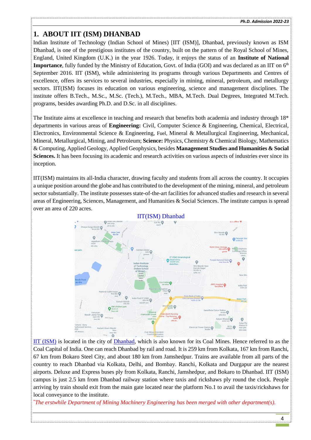## <span id="page-3-0"></span>**1. ABOUT IIT (ISM) DHANBAD**

Indian Institute of Technology (Indian School of Mines) [IIT (ISM)], Dhanbad, previously known as ISM Dhanbad, is one of the prestigious institutes of the country, built on the pattern of the Royal School of Mines, England, United Kingdom (U.K.) in the year 1926. Today, it enjoys the status of an **Institute of National Importance**, fully funded by the Ministry of Education, Govt. of India (GOI) and was declared as an IIT on 6<sup>th</sup> September 2016. IIT (ISM), while administering its programs through various Departments and Centres of excellence, offers its services to several industries, especially in mining, mineral, petroleum, and metallurgy sectors. IIT(ISM) focuses its education on various engineering, science and management disciplines. The institute offers B.Tech., M.Sc., M.Sc. (Tech.), M.Tech., MBA, M.Tech. Dual Degrees, Integrated M.Tech. programs, besides awarding Ph.D. and D.Sc. in all disciplines.

The Institute aims at excellence in teaching and research that benefits both academia and industry through 18\* departments in various areas of **Engineering:** Civil, Computer Science & Engineering, Chemical, Electrical, Electronics, Environmental Science & Engineering, Fuel, Mineral & Metallurgical Engineering, Mechanical, Mineral, Metallurgical, Mining, and Petroleum; **Science:** Physics, Chemistry & Chemical Biology, Mathematics & Computing, Applied Geology, Applied Geophysics, besides **Management Studies and Humanities & Social Sciences.** It has been focusing its academic and research activities on various aspects of industries ever since its inception.

IIT(ISM) maintains its all-India character, drawing faculty and students from all across the country. It occupies a unique position around the globe and has contributed to the development of the mining, mineral, and petroleum sector substantially. The institute possesses state-of-the-art facilities for advanced studies and research in several areas of Engineering, Sciences, Management, and Humanities & Social Sciences. The institute campus is spread over an area of 220 acres.



IIT [\(ISM\)](https://www.google.co.in/maps/@23.8132835,86.4413659,16.75z) is located in the city of [Dhanbad,](https://www.google.co.in/maps/place/Dhanbad,+Jharkhand/@23.8021272,86.3991445,13z/data=!3m1!4b1!4m5!3m4!1s0x39f6a30804ccfc6d:0xfa151e1b85f764e7!8m2!3d23.7956531!4d86.4303859) which is also known for its Coal Mines. Hence referred to as the Coal Capital of India. One can reach Dhanbad by rail and road. It is 259 km from Kolkata, 167 km from Ranchi, 67 km from Bokaro Steel City, and about 180 km from Jamshedpur. Trains are available from all parts of the country to reach Dhanbad via Kolkata, Delhi, and Bombay. Ranchi, Kolkata and Durgapur are the nearest airports. Deluxe and Express buses ply from Kolkata, Ranchi, Jamshedpur, and Bokaro to Dhanbad. IIT (ISM) campus is just 2.5 km from Dhanbad railway station where taxis and rickshaws ply round the clock. People arriving by train should exit from the main gate located near the platform No.1 to avail the taxis/rickshaws for local conveyance to the institute.

\**The erstwhile Department of Mining Machinery Engineering has been merged with other department(s).*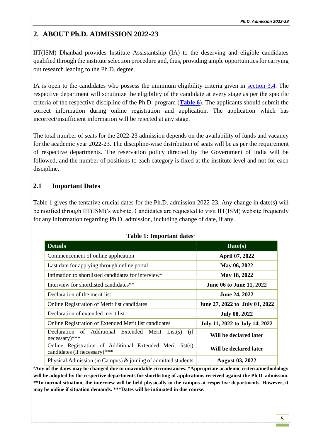## <span id="page-4-0"></span>**2. ABOUT Ph.D. ADMISSION 2022-23**

IIT(ISM) Dhanbad provides Institute Assistantship (IA) to the deserving and eligible candidates qualified through the institute selection procedure and, thus, providing ample opportunities for carrying out research leading to the Ph.D. degree.

IA is open to the candidates who possess the minimum eligibility criteria given in [section 3.4.](#page-9-3) The respective department will scrutinize the eligibility of the candidate at every stage as per the specific criteria of the respective discipline of the Ph.D. program (**[Table 6](#page-11-3)**). The applicants should submit the correct information during online registration and application. The application which has incorrect/insufficient information will be rejected at any stage.

The total number of seats for the 2022-23 admission depends on the availability of funds and vacancy for the academic year 2022-23. The discipline-wise distribution of seats will be as per the requirement of respective departments. The reservation policy directed by the Government of India will be followed, and the number of positions to each category is fixed at the institute level and not for each discipline.

## <span id="page-4-1"></span>**2.1 Important Dates**

Table 1 gives the tentative crucial dates for the Ph.D. admission 2022-23. Any change in date(s) will be notified through IIT(ISM)'s website. Candidates are requested to visit IIT(ISM) website frequently for any information regarding Ph.D. admission, including change of date, if any.

| <b>Details</b>                                                                           | Date(s)                        |
|------------------------------------------------------------------------------------------|--------------------------------|
| Commencement of online application                                                       | April 07, 2022                 |
| Last date for applying through online portal                                             | May 06, 2022                   |
| Intimation to shortlisted candidates for interview*                                      | May 18, 2022                   |
| Interview for shortlisted candidates**                                                   | June 06 to June 11, 2022       |
| Declaration of the merit list                                                            | June 24, 2022                  |
| Online Registration of Merit list candidates                                             | June 27, 2022 to July 01, 2022 |
| Declaration of extended merit list                                                       | <b>July 08, 2022</b>           |
| Online Registration of Extended Merit list candidates                                    | July 11, 2022 to July 14, 2022 |
| (i f)<br>Declaration of Additional Extended Merit List(s)<br>$necessary)$ ***            | Will be declared later         |
| Online Registration of Additional Extended Merit list(s)<br>candidates (if necessary)*** | Will be declared later         |
| Physical Admission (in Campus) $\&$ joining of admitted students                         | <b>August 03, 2022</b>         |

#### **Table 1: Important dates#**

**#Any of the dates may be changed due to unavoidable circumstances. \*Appropriate academic criteria/methodology will be adopted by the respective departments for shortlisting of applications received against the Ph.D. admission. \*\*In normal situation, the interview will be held physically in the campus at respective departments. However, it may be online if situation demands. \*\*\*Dates will be intimated in due course.**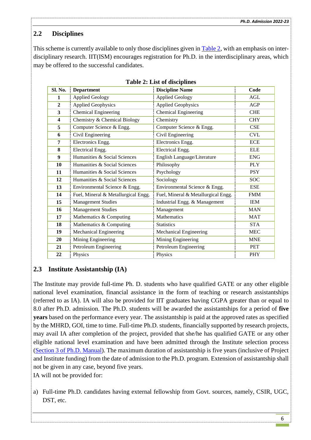## <span id="page-5-0"></span>**2.2 Disciplines**

This scheme is currently available to only those disciplines given in [Table 2,](#page-6-3) with an emphasis on interdisciplinary research. IIT(ISM) encourages registration for Ph.D. in the interdisciplinary areas, which may be offered to the successful candidates.

| Sl. No.                 | <b>Department</b>                   | <b>Discipline Name</b>              | Code       |
|-------------------------|-------------------------------------|-------------------------------------|------------|
| 1                       | <b>Applied Geology</b>              | <b>Applied Geology</b>              | AGL        |
| $\mathbf{2}$            | <b>Applied Geophysics</b>           | <b>Applied Geophysics</b>           | AGP        |
| 3                       | <b>Chemical Engineering</b>         | <b>Chemical Engineering</b>         | <b>CHE</b> |
| $\overline{\mathbf{4}}$ | Chemistry & Chemical Biology        | Chemistry                           | <b>CHY</b> |
| 5                       | Computer Science & Engg.            | Computer Science & Engg.            | CSE        |
| 6                       | Civil Engineering                   | Civil Engineering                   | <b>CVL</b> |
| 7                       | Electronics Engg.                   | Electronics Engg.                   | <b>ECE</b> |
| 8                       | Electrical Engg.                    | Electrical Engg.                    | <b>ELE</b> |
| 9                       | Humanities & Social Sciences        | English Language/Literature         | <b>ENG</b> |
| 10                      | Humanities & Social Sciences        | Philosophy                          | <b>PLY</b> |
| 11                      | Humanities & Social Sciences        | Psychology                          | <b>PSY</b> |
| 12                      | Humanities & Social Sciences        | Sociology                           | <b>SOC</b> |
| 13                      | Environmental Science & Engg.       | Environmental Science & Engg.       | <b>ESE</b> |
| 14                      | Fuel, Mineral & Metallurgical Engg. | Fuel, Mineral & Metallurgical Engg. | <b>FMM</b> |
| 15                      | <b>Management Studies</b>           | Industrial Engg. & Management       | <b>IEM</b> |
| 16                      | <b>Management Studies</b>           | Management                          | <b>MAN</b> |
| 17                      | Mathematics & Computing             | Mathematics                         | <b>MAT</b> |
| 18                      | Mathematics & Computing             | <b>Statistics</b>                   | <b>STA</b> |
| 19                      | Mechanical Engineering              | Mechanical Engineering              | <b>MEC</b> |
| 20                      | Mining Engineering                  | Mining Engineering                  | <b>MNE</b> |
| 21                      | Petroleum Engineering               | Petroleum Engineering               | <b>PET</b> |
| 22                      | Physics                             | Physics                             | PHY        |

#### <span id="page-5-1"></span>**2.3 Institute Assistantship (IA)**

The Institute may provide full-time Ph. D. students who have qualified GATE or any other eligible national level examination, financial assistance in the form of teaching or research assistantships (referred to as IA). IA will also be provided for IIT graduates having CGPA greater than or equal to 8.0 after Ph.D. admission. The Ph.D. students will be awarded the assistantships for a period of **five years** based on the performance every year. The assistantship is paid at the approved rates as specified by the MHRD, GOI, time to time. Full-time Ph.D. students, financially supported by research projects, may avail IA after completion of the project, provided that she/he has qualified GATE or any other eligible national level examination and have been admitted through the Institute selection process [\(Section 3 of Ph.D. Manual\)](https://www.iitism.ac.in/assets/uploads/news_events/admin/Ph.D-Manual.pdf). The maximum duration of assistantship is five years (inclusive of Project and Institute funding) from the date of admission to the Ph.D. program. Extension of assistantship shall not be given in any case, beyond five years.

IA will not be provided for:

a) Full-time Ph.D. candidates having external fellowship from Govt. sources, namely, CSIR, UGC, DST, etc.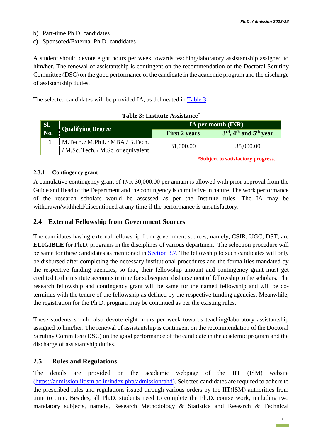b) Part-time Ph.D. candidates

c) Sponsored/External Ph.D. candidates

A student should devote eight hours per week towards teaching/laboratory assistantship assigned to him/her. The renewal of assistantship is contingent on the recommendation of the Doctoral Scrutiny Committee (DSC) on the good performance of the candidate in the academic program and the discharge of assistantship duties.

The selected candidates will be provided IA, as delineated in [Table 3.](#page-6-3)

| Table 3: Institute Assistance <sup>*</sup> |
|--------------------------------------------|
|                                            |

<span id="page-6-3"></span>

| Sl.         | Qualifying Degree                               | $\vert$ IA per month (INR) $\vert$ |                                        |
|-------------|-------------------------------------------------|------------------------------------|----------------------------------------|
| $\vert$ No. |                                                 | <b>First 2 years</b>               | $3rd$ , 4 <sup>th</sup> and $5th$ year |
|             | M.Tech. / M.Phil. / MBA / B.Tech.               | 31,000.00                          | 35,000.00                              |
|             | / M.Sc. Tech. / M.Sc. or equivalent $\parallel$ |                                    |                                        |

**\*Subject to satisfactory progress.**

#### <span id="page-6-0"></span>**2.3.1 Contingency grant**

A cumulative contingency grant of INR 30,000.00 per annum is allowed with prior approval from the Guide and Head of the Department and the contingency is cumulative in nature. The work performance of the research scholars would be assessed as per the Institute rules. The IA may be withdrawn/withheld/discontinued at any time if the performance is unsatisfactory.

#### <span id="page-6-1"></span>**2.4 External Fellowship from Government Sources**

The candidates having external fellowship from government sources, namely, CSIR, UGC, DST, are **ELIGIBLE** for Ph.D. programs in the disciplines of various department. The selection procedure will be same for these candidates as mentioned in [Section 3.7.](#page-15-0) The fellowship to such candidates will only be disbursed after completing the necessary institutional procedures and the formalities mandated by the respective funding agencies, so that, their fellowship amount and contingency grant must get credited to the institute accounts in time for subsequent disbursement of fellowship to the scholars. The research fellowship and contingency grant will be same for the named fellowship and will be coterminus with the tenure of the fellowship as defined by the respective funding agencies. Meanwhile, the registration for the Ph.D. program may be continued as per the existing rules.

These students should also devote eight hours per week towards teaching/laboratory assistantship assigned to him/her. The renewal of assistantship is contingent on the recommendation of the Doctoral Scrutiny Committee (DSC) on the good performance of the candidate in the academic program and the discharge of assistantship duties.

## <span id="page-6-2"></span>**2.5 Rules and Regulations**

The details are provided on the academic webpage of the IIT (ISM) website (https://admission.iitism.ac.in/index.php/admission/phd). Selected candidates are required to adhere to the prescribed rules and regulations issued through various orders by the IIT(ISM) authorities from time to time. Besides, all Ph.D. students need to complete the Ph.D. course work, including two mandatory subjects, namely, Research Methodology & Statistics and Research & Technical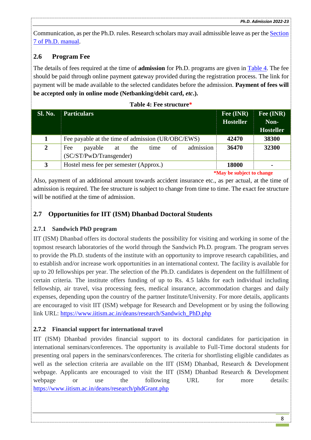Communication, as per the Ph.D. rules. Research scholars may avail admissible leave as per the [Section](https://www.iitism.ac.in/assets/uploads/news_events/admin/Ph.D-Manual.pdf)  [7 of Ph.D. manual.](https://www.iitism.ac.in/assets/uploads/news_events/admin/Ph.D-Manual.pdf)

## <span id="page-7-0"></span>**2.6 Program Fee**

The details of fees required at the time of **admission** for Ph.D. programs are given in [Table 4.](#page-7-4) The fee should be paid through online payment gateway provided during the registration process. The link for payment will be made available to the selected candidates before the admission. **Payment of fees will be accepted only in online mode (Netbanking/debit card,** *etc***.).**

**Table 4: Fee structure\***

<span id="page-7-4"></span>

|                | Tame T. T ce su acture                                                            |                                  |                                       |  |  |  |
|----------------|-----------------------------------------------------------------------------------|----------------------------------|---------------------------------------|--|--|--|
| <b>Sl. No.</b> | <b>Particulars</b>                                                                | Fee (INR)<br><b>Hosteller</b>    | Fee (INR)<br>Non-<br><b>Hosteller</b> |  |  |  |
| 1              | Fee payable at the time of admission (UR/OBC/EWS)                                 | 42470                            | 38300                                 |  |  |  |
| $\overline{2}$ | admission<br>of<br>Fee<br>payable<br>the<br>time<br>at<br>(SC/ST/PwD/Transgender) | 36470                            | 32300                                 |  |  |  |
| 3              | Hostel mess fee per semester (Approx.)                                            | 18000                            | $\blacksquare$                        |  |  |  |
|                |                                                                                   | <i>*May be subject to change</i> |                                       |  |  |  |

Also, payment of an additional amount towards accident insurance etc., as per actual, at the time of admission is required. The fee structure is subject to change from time to time. The exact fee structure will be notified at the time of admission.

## <span id="page-7-1"></span>**2.7 Opportunities for IIT (ISM) Dhanbad Doctoral Students**

#### <span id="page-7-2"></span>**2.7.1 Sandwich PhD program**

IIT (ISM) Dhanbad offers its doctoral students the possibility for visiting and working in some of the topmost research laboratories of the world through the Sandwich Ph.D. program. The program serves to provide the Ph.D. students of the institute with an opportunity to improve research capabilities, and to establish and/or increase work opportunities in an international context. The facility is available for up to 20 fellowships per year. The selection of the Ph.D. candidates is dependent on the fulfillment of certain criteria. The institute offers funding of up to Rs. 4.5 lakhs for each individual including fellowship, air travel, visa processing fees, medical insurance, accommodation charges and daily expenses, depending upon the country of the partner Institute/University. For more details, applicants are encouraged to visit IIT (ISM) webpage for Research and Development or by using the following link URL: [https://www.iitism.ac.in/deans/research/Sandwich\\_PhD.php](https://www.iitism.ac.in/deans/research/Sandwich_PhD.php) 

## <span id="page-7-3"></span>**2.7.2 Financial support for international travel**

IIT (ISM) Dhanbad provides financial support to its doctoral candidates for participation in international seminars/conferences. The opportunity is available to Full-Time doctoral students for presenting oral papers in the seminars/conferences. The criteria for shortlisting eligible candidates as well as the selection criteria are available on the IIT (ISM) Dhanbad, Research & Development webpage. Applicants are encouraged to visit the IIT (ISM) Dhanbad Research & Development webpage or use the following URL for more details: <https://www.iitism.ac.in/deans/research/phdGrant.php>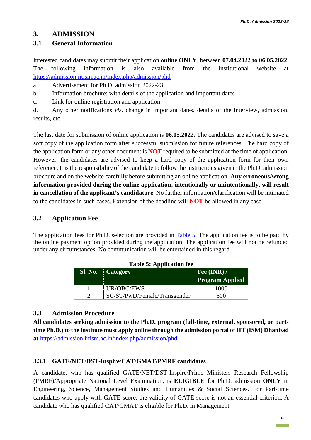## <span id="page-8-0"></span>**3. ADMISSION**

## <span id="page-8-1"></span>**3.1 General Information**

Interested candidates may submit their application **online ONLY**, between **07.04.2022 to 06.05.2022**. The following information is also available from the institutional website at [https://admission.iitism.ac.in/index.php/admission/phd](https://www.iitism.ac.in/index.php/Admission)

a. Advertisement for Ph.D. admission 2022-23

b. Information brochure: with details of the application and important dates

c. Link for online registration and application

d. Any other notifications *viz.* change in important dates, details of the interview, admission, results, etc.

The last date for submission of online application is **06.05.2022**. The candidates are advised to save a soft copy of the application form after successful submission for future references. The hard copy of the application form or any other document is **NOT** required to be submitted at the time of application. However, the candidates are advised to keep a hard copy of the application form for their own reference. It is the responsibility of the candidate to follow the instructions given in the Ph.D. admission brochure and on the website carefully before submitting an online application. **Any erroneous/wrong information provided during the online application, intentionally or unintentionally, will result in cancellation of the applicant's candidature**. No further information/clarification will be intimated to the candidates in such cases. Extension of the deadline will **NOT** be allowed in any case.

## <span id="page-8-2"></span>**3.2 Application Fee**

<span id="page-8-5"></span>The application fees for Ph.D. selection are provided in [Table 5.](#page-8-5) The application fee is to be paid by the online payment option provided during the application. The application fee will not be refunded under any circumstances. No communication will be entertained in this regard.

**Table 5: Application fee**

| <b>SI. No.</b> | <b>Category</b>              | Fee $(INR)$ /<br><b>Program Applied</b> |
|----------------|------------------------------|-----------------------------------------|
|                | UR/OBC/EWS                   |                                         |
|                | SC/ST/PwD/Female/Transgender |                                         |

## <span id="page-8-3"></span>**3.3 Admission Procedure**

**All candidates seeking admission to the Ph.D. program (full-time, external, sponsored, or parttime Ph.D.) to the institute must apply online through the admission portal of IIT (ISM) Dhanbad at** [https://admission.iitism.ac.in/index.php/admission/phd](https://www.iitism.ac.in/index.php/Admission)

## <span id="page-8-4"></span>**3.3.1 GATE/NET/DST-Inspire/CAT/GMAT/PMRF candidates**

A candidate, who has qualified GATE/NET/DST-Inspire/Prime Ministers Research Fellowship (PMRF)/Appropriate National Level Examination, is **ELIGIBLE** for Ph.D. admission **ONLY** in Engineering, Science, Management Studies and Humanities & Social Sciences. For Part-time candidates who apply with GATE score, the validity of GATE score is not an essential criterion. A candidate who has qualified CAT/GMAT is eligible for Ph.D. in Management.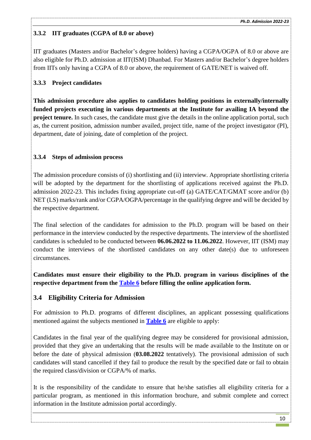## <span id="page-9-0"></span>**3.3.2 IIT graduates (CGPA of 8.0 or above)**

IIT graduates (Masters and/or Bachelor's degree holders) having a CGPA/OGPA of 8.0 or above are also eligible for Ph.D. admission at IIT(ISM) Dhanbad. For Masters and/or Bachelor's degree holders from IITs only having a CGPA of 8.0 or above, the requirement of GATE/NET is waived off.

## <span id="page-9-1"></span>**3.3.3 Project candidates**

**This admission procedure also applies to candidates holding positions in externally/internally funded projects executing in various departments at the Institute for availing IA beyond the project tenure.** In such cases, the candidate must give the details in the online application portal, such as, the current position, admission number availed, project title, name of the project investigator (PI), department, date of joining, date of completion of the project.

## <span id="page-9-2"></span>**3.3.4 Steps of admission process**

The admission procedure consists of (i) shortlisting and (ii) interview. Appropriate shortlisting criteria will be adopted by the department for the shortlisting of applications received against the Ph.D. admission 2022-23. This includes fixing appropriate cut-off (a) GATE/CAT/GMAT score and/or (b) NET (LS) marks/rank and/or CGPA/OGPA/percentage in the qualifying degree and will be decided by the respective department.

The final selection of the candidates for admission to the Ph.D. program will be based on their performance in the interview conducted by the respective departments. The interview of the shortlisted candidates is scheduled to be conducted between **06.06.2022 to 11.06.2022**. However, IIT (ISM) may conduct the interviews of the shortlisted candidates on any other date(s) due to unforeseen circumstances.

**Candidates must ensure their eligibility to the Ph.D. program in various disciplines of the respective department from the [Table 6](#page-11-3) before filling the online application form.**

## <span id="page-9-3"></span>**3.4 Eligibility Criteria for Admission**

For admission to Ph.D. programs of different disciplines, an applicant possessing qualifications mentioned against the subjects mentioned in **[Table 6](#page-11-3)** are eligible to apply:

Candidates in the final year of the qualifying degree may be considered for provisional admission, provided that they give an undertaking that the results will be made available to the Institute on or before the date of physical admission (**03.08.2022** tentatively). The provisional admission of such candidates will stand cancelled if they fail to produce the result by the specified date or fail to obtain the required class/division or CGPA/% of marks.

It is the responsibility of the candidate to ensure that he/she satisfies all eligibility criteria for a particular program, as mentioned in this information brochure, and submit complete and correct information in the Institute admission portal accordingly.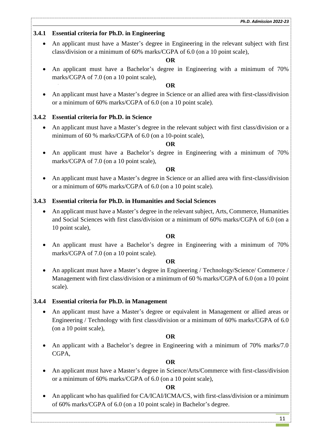### <span id="page-10-0"></span>**3.4.1 Essential criteria for Ph.D. in Engineering**

 An applicant must have a Master's degree in Engineering in the relevant subject with first class/division or a minimum of 60% marks/CGPA of 6.0 (on a 10 point scale),

#### **OR**

 An applicant must have a Bachelor's degree in Engineering with a minimum of 70% marks/CGPA of 7.0 (on a 10 point scale),

#### **OR**

 An applicant must have a Master's degree in Science or an allied area with first-class/division or a minimum of 60% marks/CGPA of 6.0 (on a 10 point scale).

#### <span id="page-10-1"></span>**3.4.2 Essential criteria for Ph.D. in Science**

 An applicant must have a Master's degree in the relevant subject with first class/division or a minimum of 60 % marks/CGPA of 6.0 (on a 10-point scale),

#### **OR**

 An applicant must have a Bachelor's degree in Engineering with a minimum of 70% marks/CGPA of 7.0 (on a 10 point scale),

#### **OR**

 An applicant must have a Master's degree in Science or an allied area with first-class/division or a minimum of 60% marks/CGPA of 6.0 (on a 10 point scale).

#### <span id="page-10-2"></span>**3.4.3 Essential criteria for Ph.D. in Humanities and Social Sciences**

 An applicant must have a Master's degree in the relevant subject, Arts, Commerce, Humanities and Social Sciences with first class/division or a minimum of 60% marks/CGPA of 6.0 (on a 10 point scale),

#### **OR**

 An applicant must have a Bachelor's degree in Engineering with a minimum of 70% marks/CGPA of 7.0 (on a 10 point scale).

#### **OR**

• An applicant must have a Master's degree in Engineering / Technology/Science/ Commerce / Management with first class/division or a minimum of 60 % marks/CGPA of 6.0 (on a 10 point scale).

#### <span id="page-10-3"></span>**3.4.4 Essential criteria for Ph.D. in Management**

 An applicant must have a Master's degree or equivalent in Management or allied areas or Engineering / Technology with first class/division or a minimum of 60% marks/CGPA of 6.0 (on a 10 point scale),

#### **OR**

 An applicant with a Bachelor's degree in Engineering with a minimum of 70% marks/7.0 CGPA,

#### **OR**

 An applicant must have a Master's degree in Science/Arts/Commerce with first-class/division or a minimum of 60% marks/CGPA of 6.0 (on a 10 point scale),

#### **OR**

 An applicant who has qualified for CA/ICAI/ICMA/CS, with first-class/division or a minimum of 60% marks/CGPA of 6.0 (on a 10 point scale) in Bachelor's degree.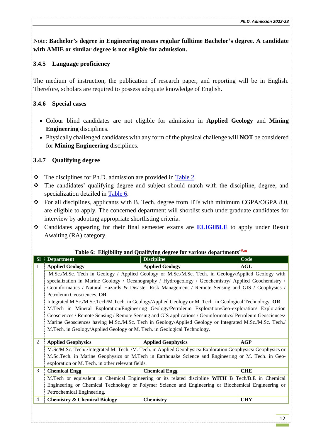Note: **Bachelor's degree in Engineering means regular fulltime Bachelor's degree. A candidate with AMIE or similar degree is not eligible for admission.**

## <span id="page-11-0"></span>**3.4.5 Language proficiency**

The medium of instruction, the publication of research paper, and reporting will be in English. Therefore, scholars are required to possess adequate knowledge of English.

## <span id="page-11-1"></span>**3.4.6 Special cases**

- Colour blind candidates are not eligible for admission in **Applied Geology** and **Mining Engineering** disciplines.
- Physically challenged candidates with any form of the physical challenge will **NOT** be considered for **Mining Engineering** disciplines.

## <span id="page-11-2"></span>**3.4.7 Qualifying degree**

- The disciplines for Ph.D. admission are provided in [Table 2.](#page-6-3)
- The candidates' qualifying degree and subject should match with the discipline, degree, and specialization detailed in [Table 6.](#page-11-3)
- For all disciplines, applicants with B. Tech. degree from IITs with minimum CGPA/OGPA 8.0, are eligible to apply. The concerned department will shortlist such undergraduate candidates for interview by adopting appropriate shortlisting criteria.
- Candidates appearing for their final semester exams are **ELIGIBLE** to apply under Result Awaiting (RA) category.

#### **Table 6: Eligibility and Qualifying degree for various departments'#,\***

<span id="page-11-3"></span>

| <b>SI</b>      | <b>Department</b>                                                                                     | <b>Discipline</b>                                                                                            | Code       |  |  |
|----------------|-------------------------------------------------------------------------------------------------------|--------------------------------------------------------------------------------------------------------------|------------|--|--|
| -1             | <b>Applied Geology</b>                                                                                | <b>Applied Geology</b>                                                                                       | <b>AGL</b> |  |  |
|                | M.Sc./M.Sc. Tech in Geology / Applied Geology or M.Sc./M.Sc. Tech. in Geology/Applied Geology with    |                                                                                                              |            |  |  |
|                | specialization in Marine Geology / Oceanography / Hydrogeology / Geochemistry/ Applied Geochemistry / |                                                                                                              |            |  |  |
|                |                                                                                                       | Geoinformatics / Natural Hazards & Disaster Risk Management / Remote Sensing and GIS / Geophysics /          |            |  |  |
|                | Petroleum Geosciences. OR                                                                             |                                                                                                              |            |  |  |
|                |                                                                                                       | Integrated M.Sc./M.Sc.Tech/M.Tech. in Geology/Applied Geology or M. Tech. in Geological Technology. OR       |            |  |  |
|                |                                                                                                       | M.Tech in Mineral Exploration/Engineering Geology/Petroleum Exploration/Geo-exploration/ Exploration         |            |  |  |
|                |                                                                                                       | Geosciences / Remote Sensing / Remote Sensing and GIS applications / Geoinformatics/ Petroleum Geosciences/  |            |  |  |
|                |                                                                                                       | Marine Geosciences having M.Sc./M.Sc. Tech in Geology/Applied Geology or Integrated M.Sc./M.Sc. Tech./       |            |  |  |
|                | M.Tech. in Geology/Applied Geology or M. Tech. in Geological Technology.                              |                                                                                                              |            |  |  |
|                |                                                                                                       |                                                                                                              |            |  |  |
| 2              | <b>Applied Geophysics</b>                                                                             | <b>Applied Geophysics</b>                                                                                    | <b>AGP</b> |  |  |
|                |                                                                                                       | M.Sc/M.Sc. Tech/./Integrated M. Tech. /M. Tech. in Applied Geophysics/ Exploration Geophysics/ Geophysics or |            |  |  |
|                |                                                                                                       | M.Sc.Tech. in Marine Geophysics or M.Tech in Earthquake Science and Engineering or M. Tech. in Geo-          |            |  |  |
|                | exploration or M. Tech. in other relevant fields.                                                     |                                                                                                              |            |  |  |
| 3              | <b>Chemical Engg</b>                                                                                  | <b>Chemical Engg</b>                                                                                         | <b>CHE</b> |  |  |
|                |                                                                                                       | M.Tech or equivalent in Chemical Engineering or its related discipline WITH B Tech/B.E in Chemical           |            |  |  |
|                |                                                                                                       | Engineering or Chemical Technology or Polymer Science and Engineering or Biochemical Engineering or          |            |  |  |
|                | Petrochemical Engineering.                                                                            |                                                                                                              |            |  |  |
| $\overline{4}$ | <b>Chemistry &amp; Chemical Biology</b>                                                               | <b>Chemistry</b>                                                                                             | <b>CHY</b> |  |  |
|                |                                                                                                       |                                                                                                              |            |  |  |
|                |                                                                                                       |                                                                                                              | 12         |  |  |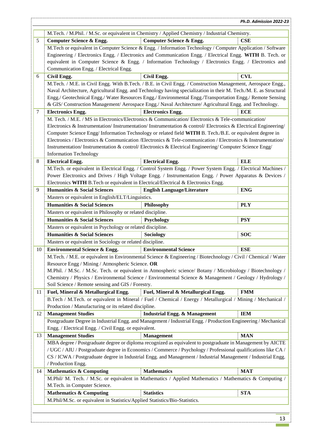|                      |                                                                                                                   | M.Tech. / M.Phil. / M.Sc. or equivalent in Chemistry / Applied Chemistry / Industrial Chemistry.                  |            |  |  |
|----------------------|-------------------------------------------------------------------------------------------------------------------|-------------------------------------------------------------------------------------------------------------------|------------|--|--|
| 5                    | <b>Computer Science &amp; Engg.</b>                                                                               | <b>Computer Science &amp; Engg.</b>                                                                               | <b>CSE</b> |  |  |
|                      |                                                                                                                   | M.Tech or equivalent in Computer Science & Engg. / Information Technology / Computer Application / Software       |            |  |  |
|                      |                                                                                                                   | Engineering / Electronics Engg. / Electronics and Communication Engg. / Electrical Engg. WITH B. Tech. or         |            |  |  |
|                      |                                                                                                                   | equivalent in Computer Science & Engg. / Information Technology / Electronics Engg. / Electronics and             |            |  |  |
|                      |                                                                                                                   |                                                                                                                   |            |  |  |
|                      | Communication Engg. / Electrical Engg.                                                                            |                                                                                                                   |            |  |  |
| 6                    | Civil Engg.                                                                                                       | Civil Engg.                                                                                                       | <b>CVL</b> |  |  |
|                      |                                                                                                                   | M.Tech. / M.E. in Civil Engg. With B.Tech. / B.E. in Civil Engg. / Construction Management, Aerospace Engg.,      |            |  |  |
|                      |                                                                                                                   | Naval Architecture, Agricultural Engg. and Technology having specialization in their M. Tech./M. E. as Structural |            |  |  |
|                      |                                                                                                                   | Engg./ Geotechnical Engg./ Water Resources Engg./ Environmental Engg./Transportation Engg./ Remote Sensing        |            |  |  |
|                      |                                                                                                                   | & GIS/ Construction Management/ Aerospace Engg./ Naval Architecture/ Agricultural Engg. and Technology.           |            |  |  |
| 7                    | <b>Electronics Engg.</b>                                                                                          | <b>Electronics Engg.</b>                                                                                          | <b>ECE</b> |  |  |
|                      |                                                                                                                   | M. Tech. / M.E. / MS in Electronics/Electronics & Communication/ Electronics & Tele-communication/                |            |  |  |
|                      |                                                                                                                   | Electronics & Instrumentation/Instrumentation/Instrumentation & control/Electronics & Electrical Engineering/     |            |  |  |
|                      |                                                                                                                   | Computer Science Engg/Information Technology or related field WITH B. Tech./B.E. or equivalent degree in          |            |  |  |
|                      |                                                                                                                   | Electronics / Electronics & Communication / Electronics & Tele-communication / Electronics & Instrumentation /    |            |  |  |
|                      |                                                                                                                   | Instrumentation/Instrumentation & control/Electronics & Electrical Engineering/Computer Science Engg/             |            |  |  |
|                      | <b>Information Technology</b>                                                                                     |                                                                                                                   |            |  |  |
| 8                    | <b>Electrical Engg.</b>                                                                                           | <b>Electrical Engg.</b>                                                                                           | <b>ELE</b> |  |  |
|                      |                                                                                                                   | M.Tech. or equivalent in Electrical Engg. / Control System Engg. / Power System Engg. / Electrical Machines /     |            |  |  |
|                      |                                                                                                                   | Power Electronics and Drives / High Voltage Engg. / Instrumentation Engg. / Power Apparatus & Devices /           |            |  |  |
|                      |                                                                                                                   | Electronics WITH B. Tech or equivalent in Electrical/Electrical & Electronics Engg.                               |            |  |  |
| 9                    | <b>Humanities &amp; Social Sciences</b>                                                                           | <b>English Language/Literature</b>                                                                                | <b>ENG</b> |  |  |
|                      | Masters or equivalent in English/ELT/Linguistics.                                                                 |                                                                                                                   |            |  |  |
|                      | <b>Humanities &amp; Social Sciences</b>                                                                           | Philosophy                                                                                                        | <b>PLY</b> |  |  |
|                      | Masters or equivalent in Philosophy or related discipline.                                                        |                                                                                                                   |            |  |  |
|                      | <b>Humanities &amp; Social Sciences</b>                                                                           | Psychology                                                                                                        | <b>PSY</b> |  |  |
|                      | Masters or equivalent in Psychology or related discipline.                                                        |                                                                                                                   |            |  |  |
|                      | <b>Humanities &amp; Social Sciences</b>                                                                           | <b>Sociology</b>                                                                                                  | <b>SOC</b> |  |  |
|                      | Masters or equivalent in Sociology or related discipline.                                                         |                                                                                                                   |            |  |  |
| 10                   | <b>Environmental Science &amp; Engg.</b>                                                                          | <b>Environmental Science</b>                                                                                      | <b>ESE</b> |  |  |
|                      | M.Tech. / M.E. or equivalent in Environmental Science & Engineering / Biotechnology / Civil / Chemical / Water    |                                                                                                                   |            |  |  |
|                      |                                                                                                                   |                                                                                                                   |            |  |  |
|                      |                                                                                                                   |                                                                                                                   |            |  |  |
|                      | Resource Engg / Mining / Atmospheric Science. OR                                                                  |                                                                                                                   |            |  |  |
|                      |                                                                                                                   | M.Phil. / M.Sc. / M.Sc. Tech. or equivalent in Atmospheric science/ Botany / Microbiology / Biotechnology /       |            |  |  |
|                      |                                                                                                                   | Chemistry / Physics / Environmental Science / Environmental Science & Management / Geology / Hydrology /          |            |  |  |
|                      | Soil Science / Remote sensing and GIS / Forestry.                                                                 |                                                                                                                   |            |  |  |
|                      | Fuel, Mineral & Metallurgical Engg.                                                                               | Fuel, Mineral & Metallurgical Engg.                                                                               | <b>FMM</b> |  |  |
|                      |                                                                                                                   | B.Tech / M.Tech. or equivalent in Mineral / Fuel / Chemical / Energy / Metallurgical / Mining / Mechanical /      |            |  |  |
|                      | Production / Manufacturing or its related discipline.                                                             |                                                                                                                   |            |  |  |
|                      | <b>Management Studies</b>                                                                                         | <b>Industrial Engg. &amp; Management</b>                                                                          | <b>IEM</b> |  |  |
|                      |                                                                                                                   | Postgraduate Degree in Industrial Engg. and Management / Industrial Engg. / Production Engineering / Mechanical   |            |  |  |
|                      | Engg. / Electrical Engg. / Civil Engg. or equivalent.                                                             |                                                                                                                   |            |  |  |
|                      | <b>Management Studies</b>                                                                                         | <b>Management</b>                                                                                                 | <b>MAN</b> |  |  |
|                      |                                                                                                                   | MBA degree / Postgraduate degree or diploma recognized as equivalent to postgraduate in Management by AICTE       |            |  |  |
|                      |                                                                                                                   | / UGC / AIU / Postgraduate degree in Economics / Commerce / Psychology / Professional qualifications like CA /    |            |  |  |
|                      |                                                                                                                   | CS / ICWA / Postgraduate degree in Industrial Engg. and Management / Industrial Management / Industrial Engg.     |            |  |  |
|                      | / Production Engg.                                                                                                |                                                                                                                   |            |  |  |
| 11<br>12<br>13<br>14 | <b>Mathematics &amp; Computing</b>                                                                                | <b>Mathematics</b>                                                                                                | <b>MAT</b> |  |  |
|                      |                                                                                                                   | M.Phil/ M. Tech. / M.Sc. or equivalent in Mathematics / Applied Mathematics / Mathematics & Computing /           |            |  |  |
|                      | M.Tech. in Computer Science.                                                                                      |                                                                                                                   |            |  |  |
|                      | <b>Mathematics &amp; Computing</b><br>M.Phil/M.Sc. or equivalent in Statistics/Applied Statistics/Bio-Statistics. | <b>Statistics</b>                                                                                                 | <b>STA</b> |  |  |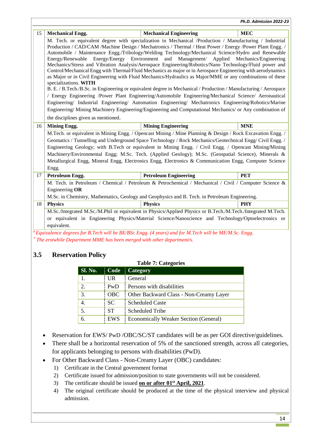| 15 | <b>Mechanical Engg.</b>                                                                                                                                                                                               | <b>Mechanical Engineering</b>                                                                                     | <b>MEC</b> |  |  |
|----|-----------------------------------------------------------------------------------------------------------------------------------------------------------------------------------------------------------------------|-------------------------------------------------------------------------------------------------------------------|------------|--|--|
|    | M. Tech. or equivalent degree with specialization in Mechanical /Production / Manufacturing / Industrial                                                                                                              |                                                                                                                   |            |  |  |
|    | Production / CAD/CAM /Machine Design / Mechatronics / Thermal / Heat Power / Energy /Power Plant Engg. /                                                                                                              |                                                                                                                   |            |  |  |
|    | Automobile / Maintenance Engg./Tribology/Welding Technology/Mechanical Science/Hydro and Renewable                                                                                                                    |                                                                                                                   |            |  |  |
|    | Management/ Applied Mechanics/Engineering<br>Energy/Energy Environment and<br>Energy/Renewable                                                                                                                        |                                                                                                                   |            |  |  |
|    | Mechanics/Stress and Vibration Analysis/Aerospace Engineering/Robotics/Nano Technology/Fluid power and<br>Control/Mechanical Engg with Thermal/Fluid Mechanics as major or in Aerospace Engineering with aerodynamics |                                                                                                                   |            |  |  |
|    |                                                                                                                                                                                                                       | as Major or in Civil Engineering with Fluid Mechanics/Hydraulics as Major/MME or any combinations of these        |            |  |  |
|    | specializations. WITH                                                                                                                                                                                                 |                                                                                                                   |            |  |  |
|    |                                                                                                                                                                                                                       | B. E. / B. Tech./B.Sc. in Engineering or equivalent degree in Mechanical / Production / Manufacturing / Aerospace |            |  |  |
|    |                                                                                                                                                                                                                       | / Energy Engineering /Power Plant Engineering/Automobile Engineering/Mechanical Science/ Aeronautical             |            |  |  |
|    |                                                                                                                                                                                                                       | Engineering/ Industrial Engineering/ Automation Engineering/ Mechatronics Engineering/Robotics/Marine             |            |  |  |
|    |                                                                                                                                                                                                                       | Engineering/Mining Machinery Engineering/Engineering and Computational Mechanics/ or Any combination of           |            |  |  |
|    | the disciplines given as mentioned.                                                                                                                                                                                   |                                                                                                                   |            |  |  |
| 16 | <b>Mining Engg.</b>                                                                                                                                                                                                   | <b>Mining Engineering</b>                                                                                         | <b>MNE</b> |  |  |
|    | M.Tech. or equivalent in Mining Engg. / Opencast Mining / Mine Planning & Design / Rock Excavation Engg. /                                                                                                            |                                                                                                                   |            |  |  |
|    | Geomatics / Tunnelling and Underground Space Technology / Rock Mechanics/Geotechnical Engg/ Civil Engg. /<br>Engineering Geology; with B.Tech or equivalent in Mining Engg. / Civil Engg. / Opencast Mining/Mining    |                                                                                                                   |            |  |  |
|    |                                                                                                                                                                                                                       |                                                                                                                   |            |  |  |
|    | Machinery/Environmental Engg; M.Sc. Tech. (Applied Geology); M.Sc. (Geospatial Science), Minerals &                                                                                                                   |                                                                                                                   |            |  |  |
|    | Metallurgical Engg, Mineral Engg, Electronics Engg, Electronics & Communication Engg, Computer Science                                                                                                                |                                                                                                                   |            |  |  |
|    | Engg.                                                                                                                                                                                                                 |                                                                                                                   |            |  |  |
| 17 | <b>Petroleum Engg.</b>                                                                                                                                                                                                | <b>Petroleum Engineering</b>                                                                                      | <b>PET</b> |  |  |
|    |                                                                                                                                                                                                                       | M. Tech. in Petroleum / Chemical / Petroleum & Petrochemical / Mechanical / Civil / Computer Science &            |            |  |  |
|    | Engineering OR                                                                                                                                                                                                        |                                                                                                                   |            |  |  |
|    |                                                                                                                                                                                                                       | M.Sc. in Chemistry, Mathematics, Geology and Geophysics and B. Tech. in Petroleum Engineering.                    |            |  |  |
| 18 | <b>Physics</b>                                                                                                                                                                                                        | <b>Physics</b>                                                                                                    | <b>PHY</b> |  |  |
|    | M.Sc./Integrated M.Sc./M.Phil or equivalent in Physics/Applied Physics or B.Tech./M.Tech./Integrated M.Tech.                                                                                                          |                                                                                                                   |            |  |  |
|    |                                                                                                                                                                                                                       | or equivalent in Engineering Physics/Material Science/Nanoscience and Technology/Optoelectronics or               |            |  |  |
|    | equivalent.                                                                                                                                                                                                           |                                                                                                                   |            |  |  |
|    | #Equivalence degrees for B.Tech will be BE/BSc Engg. (4 years) and for M.Tech will be ME/M.Sc. Engg.                                                                                                                  |                                                                                                                   |            |  |  |
|    | $*$ The erstwhile Department MME has been merged with other department/s.                                                                                                                                             |                                                                                                                   |            |  |  |
|    |                                                                                                                                                                                                                       |                                                                                                                   |            |  |  |
|    | $\mathbf{L} = \mathbf{L} \mathbf{L} \mathbf{L} + \mathbf{L} \mathbf{L} \mathbf{L}$                                                                                                                                    |                                                                                                                   |            |  |  |

#### <span id="page-13-0"></span>**3.5 Reservation Policy**

| <b>Sl. No.</b> | Code       | Category                                |
|----------------|------------|-----------------------------------------|
| 1.             | UR.        | General                                 |
| 2.             | PwD        | Persons with disabilities               |
| 3.             | <b>OBC</b> | Other Backward Class - Non-Creamy Layer |
| 4.             | SC.        | <b>Scheduled Caste</b>                  |
| 5.             | <b>ST</b>  | <b>Scheduled Tribe</b>                  |
| 6.             | <b>EWS</b> | Economically Weaker Section (General)   |

 $T_{\rm eff}$   $T_{\rm eff}$   $T_{\rm eff}$ 

- Reservation for EWS/ PwD /OBC/SC/ST candidates will be as per GOI directive/guidelines.
- There shall be a horizontal reservation of 5% of the sanctioned strength, across all categories, for applicants belonging to persons with disabilities (PwD).
- For Other Backward Class Non-Creamy Layer (OBC) candidates:
	- 1) Certificate in the Central government format
	- 2) Certificate issued for admission/position to state governments will not be considered.
	- 3) The certificate should be issued **on or after 01st April, 2021**.
	- 4) The original certificate should be produced at the time of the physical interview and physical admission.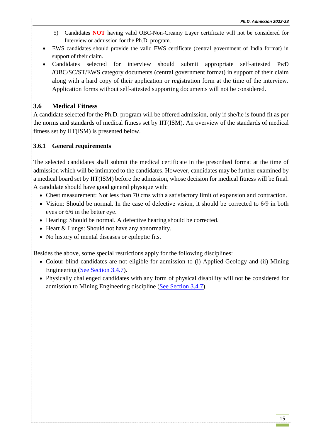- 5) Candidates **NOT** having valid OBC-Non-Creamy Layer certificate will not be considered for Interview or admission for the Ph.D. program.
- EWS candidates should provide the valid EWS certificate (central government of India format) in support of their claim.
- Candidates selected for interview should submit appropriate self-attested PwD /OBC/SC/ST/EWS category documents (central government format) in support of their claim along with a hard copy of their application or registration form at the time of the interview. Application forms without self-attested supporting documents will not be considered.

## <span id="page-14-0"></span>**3.6 Medical Fitness**

A candidate selected for the Ph.D. program will be offered admission, only if she/he is found fit as per the norms and standards of medical fitness set by IIT(ISM). An overview of the standards of medical fitness set by IIT(ISM) is presented below.

#### <span id="page-14-1"></span>**3.6.1 General requirements**

The selected candidates shall submit the medical certificate in the prescribed format at the time of admission which will be intimated to the candidates. However, candidates may be further examined by a medical board set by IIT(ISM) before the admission, whose decision for medical fitness will be final. A candidate should have good general physique with:

- Chest measurement: Not less than 70 cms with a satisfactory limit of expansion and contraction.
- Vision: Should be normal. In the case of defective vision, it should be corrected to 6/9 in both eyes or 6/6 in the better eye.
- Hearing: Should be normal. A defective hearing should be corrected.
- Heart & Lungs: Should not have any abnormality.
- No history of mental diseases or epileptic fits.

Besides the above, some special restrictions apply for the following disciplines:

- Colour blind candidates are not eligible for admission to (i) Applied Geology and (ii) Mining Engineering [\(See Section 3.4.7\)](#page-11-1).
- Physically challenged candidates with any form of physical disability will not be considered for admission to Mining Engineering discipline [\(See Section 3.4.7\)](#page-11-1).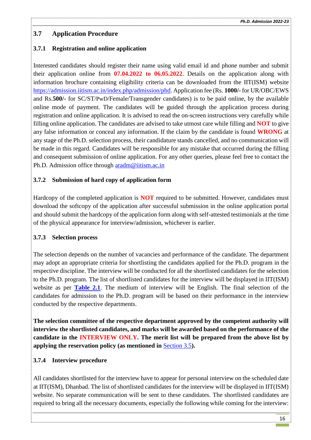## <span id="page-15-0"></span>**3.7 Application Procedure**

## <span id="page-15-1"></span>**3.7.1 Registration and online application**

Interested candidates should register their name using valid email id and phone number and submit their application online from **07.04.2022 to 06.05.2022**. Details on the application along with information brochure containing eligibility criteria can be downloaded from the IIT(ISM) website [https://admission.iitism.ac.in/index.php/admission/phd.](https://admission.iitism.ac.in/index.php/admission/phd) Application fee (Rs. **1000/-** for UR/OBC/EWS and Rs.**500/-** for SC/ST/PwD/Female/Transgender candidates) is to be paid online, by the available online mode of payment. The candidates will be guided through the application process during registration and online application. It is advised to read the on-screen instructions very carefully while filling online application. The candidates are advised to take utmost care while filling and **NOT** to give any false information or conceal any information. If the claim by the candidate is found **WRONG** at any stage of the Ph.D. selection process, their candidature stands cancelled, and no communication will be made in this regard. Candidates will be responsible for any mistake that occurred during the filling and consequent submission of online application. For any other queries, please feel free to contact the Ph.D. Admission office through [aradm@iitism.ac.in](mailto:aradm@iitism.ac.in)

## <span id="page-15-2"></span>**3.7.2 Submission of hard copy of application form**

Hardcopy of the completed application is **NOT** required to be submitted. However, candidates must download the softcopy of the application after successful submission in the online application portal and should submit the hardcopy of the application form along with self-attested testimonials at the time of the physical appearance for interview/admission, whichever is earlier.

#### <span id="page-15-3"></span>**3.7.3 Selection process**

The selection depends on the number of vacancies and performance of the candidate. The department may adopt an appropriate criteria for shortlisting the candidates applied for the Ph.D. program in the respective discipline. The interview will be conducted for all the shortlisted candidates for the selection to the Ph.D. program. The list of shortlisted candidates for the interview will be displayed in IIT(ISM) website as per **[Table 2.1](#page-4-1)**. The medium of interview will be English. The final selection of the candidates for admission to the Ph.D. program will be based on their performance in the interview conducted by the respective departments.

**The selection committee of the respective department approved by the competent authority will interview the shortlisted candidates, and marks will be awarded based on the performance of the candidate in the INTERVIEW ONLY. The merit list will be prepared from the above list by applying the reservation policy (as mentioned in** [Section 3.5](#page-13-0)**).**

## <span id="page-15-4"></span>**3.7.4 Interview procedure**

All candidates shortlisted for the interview have to appear for personal interview on the scheduled date at IIT(ISM), Dhanbad. The list of shortlisted candidates for the interview will be displayed in IIT(ISM) website. No separate communication will be sent to these candidates. The shortlisted candidates are required to bring all the necessary documents, especially the following while coming for the interview: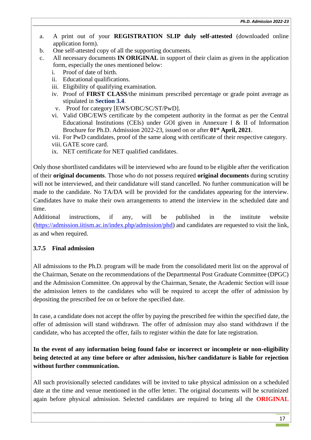- a. A print out of your **REGISTRATION SLIP duly self-attested** (downloaded online application form).
- b. One self-attested copy of all the supporting documents.
- c. All necessary documents **IN ORIGINAL** in support of their claim as given in the application form, especially the ones mentioned below:
	- i. Proof of date of birth.
	- ii. Educational qualifications.
	- iii. Eligibility of qualifying examination.
	- iv. Proof of **FIRST CLASS**/the minimum prescribed percentage or grade point average as stipulated in **Section [3.4](#page-9-3)**.
	- v. Proof for category [EWS/OBC/SC/ST/PwD].
	- vi. Valid OBC/EWS certificate by the competent authority in the format as per the Central Educational Institutions (CEIs) under GOI given in Annexure I & II of Information Brochure for Ph.D. Admission 2022-23, issued on or after **01st April, 2021**.
	- vii. For PwD candidates, proof of the same along with certificate of their respective category.
	- viii. GATE score card.
	- ix. NET certificate for NET qualified candidates.

Only those shortlisted candidates will be interviewed who are found to be eligible after the verification of their **original documents**. Those who do not possess required **original documents** during scrutiny will not be interviewed, and their candidature will stand cancelled. No further communication will be made to the candidate. No TA/DA will be provided for the candidates appearing for the interview. Candidates have to make their own arrangements to attend the interview in the scheduled date and time.

Additional instructions, if any, will be published in the institute website [\(https://admission.iitism.ac.in/index.php/admission/phd\)](https://admission.iitism.ac.in/index.php/admission/phd) and candidates are requested to visit the link, as and when required.

#### <span id="page-16-0"></span>**3.7.5 Final admission**

All admissions to the Ph.D. program will be made from the consolidated merit list on the approval of the Chairman, Senate on the recommendations of the Departmental Post Graduate Committee (DPGC) and the Admission Committee. On approval by the Chairman, Senate, the Academic Section will issue the admission letters to the candidates who will be required to accept the offer of admission by depositing the prescribed fee on or before the specified date.

In case, a candidate does not accept the offer by paying the prescribed fee within the specified date, the offer of admission will stand withdrawn. The offer of admission may also stand withdrawn if the candidate, who has accepted the offer, fails to register within the date for late registration.

**In the event of any information being found false or incorrect or incomplete or non-eligibility being detected at any time before or after admission, his/her candidature is liable for rejection without further communication.** 

All such provisionally selected candidates will be invited to take physical admission on a scheduled date at the time and venue mentioned in the offer letter. The original documents will be scrutinized again before physical admission. Selected candidates are required to bring all the **ORIGINAL**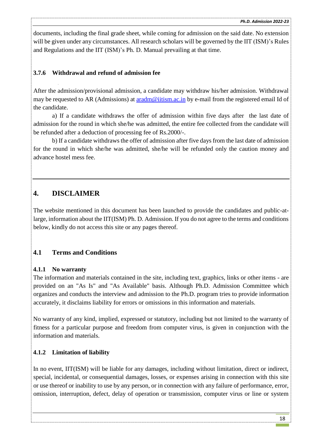documents, including the final grade sheet, while coming for admission on the said date. No extension will be given under any circumstances. All research scholars will be governed by the IIT (ISM)'s Rules and Regulations and the IIT (ISM)'s [Ph. D. Manual](https://www.iitism.ac.in/assets/uploads/news_events/admin/Ph.D-Manual.pdf) prevailing at that time.

### <span id="page-17-0"></span>**3.7.6 Withdrawal and refund of admission fee**

After the admission/provisional admission, a candidate may withdraw his/her admission. Withdrawal may be requested to AR (Admissions) at [aradm@iitism.ac.in](mailto:aradm@iitism.ac.in) by e-mail from the registered email Id of the candidate.

a) If a candidate withdraws the offer of admission within five days after the last date of admission for the round in which she/he was admitted, the entire fee collected from the candidate will be refunded after a deduction of processing fee of Rs.2000/-.

b) If a candidate withdraws the offer of admission after five days from the last date of admission for the round in which she/he was admitted, she/he will be refunded only the caution money and advance hostel mess fee.

## <span id="page-17-1"></span>**4. DISCLAIMER**

The website mentioned in this document has been launched to provide the candidates and public-atlarge, information about the IIT(ISM) Ph. D. Admission. If you do not agree to the terms and conditions below, kindly do not access this site or any pages thereof.

## <span id="page-17-2"></span>**4.1 Terms and Conditions**

#### <span id="page-17-3"></span>**4.1.1 No warranty**

The information and materials contained in the site, including text, graphics, links or other items - are provided on an "As Is" and "As Available" basis. Although Ph.D. Admission Committee which organizes and conducts the interview and admission to the Ph.D. program tries to provide information accurately, it disclaims liability for errors or omissions in this information and materials.

No warranty of any kind, implied, expressed or statutory, including but not limited to the warranty of fitness for a particular purpose and freedom from computer virus, is given in conjunction with the information and materials.

#### <span id="page-17-4"></span>**4.1.2 Limitation of liability**

In no event, IIT(ISM) will be liable for any damages, including without limitation, direct or indirect, special, incidental, or consequential damages, losses, or expenses arising in connection with this site or use thereof or inability to use by any person, or in connection with any failure of performance, error, omission, interruption, defect, delay of operation or transmission, computer virus or line or system